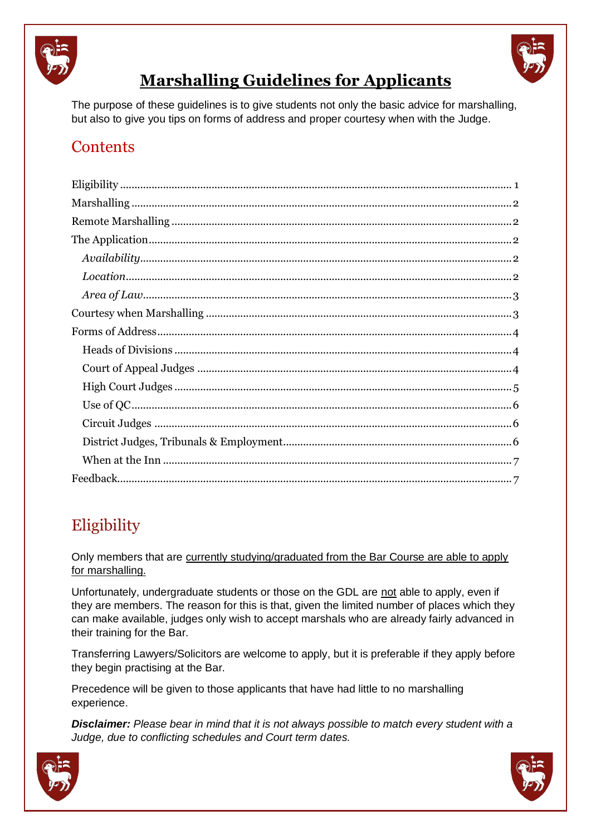



# **Marshalling Guidelines for Applicants**

The purpose of these guidelines is to give students not only the basic advice for marshalling, but also to give you tips on forms of address and proper courtesy when with the Judge.

## **Contents**

# <span id="page-0-0"></span>**Eligibility**

Only members that are currently studying/graduated from the Bar Course are able to apply for marshalling.

Unfortunately, undergraduate students or those on the GDL are not able to apply, even if they are members. The reason for this is that, given the limited number of places which they can make available, judges only wish to accept marshals who are already fairly advanced in their training for the Bar.

Transferring Lawyers/Solicitors are welcome to apply, but it is preferable if they apply before they begin practising at the Bar.

Precedence will be given to those applicants that have had little to no marshalling experience.

*Disclaimer: Please bear in mind that it is not always possible to match every student with a Judge, due to conflicting schedules and Court term dates.*



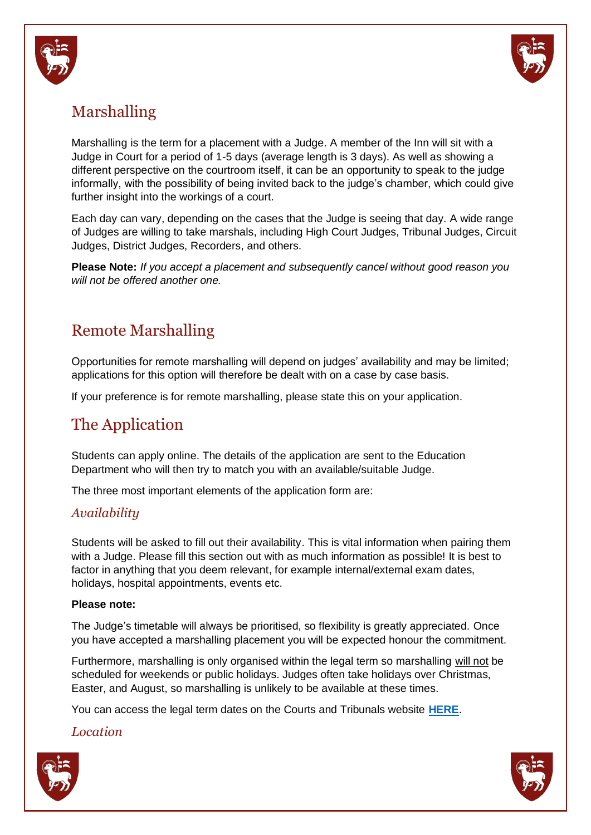



# <span id="page-1-0"></span>Marshalling

Marshalling is the term for a placement with a Judge. A member of the Inn will sit with a Judge in Court for a period of 1-5 days (average length is 3 days). As well as showing a different perspective on the courtroom itself, it can be an opportunity to speak to the judge informally, with the possibility of being invited back to the judge's chamber, which could give further insight into the workings of a court.

Each day can vary, depending on the cases that the Judge is seeing that day. A wide range of Judges are willing to take marshals, including High Court Judges, Tribunal Judges, Circuit Judges, District Judges, Recorders, and others.

**Please Note:** *If you accept a placement and subsequently cancel without good reason you will not be offered another one.*

# <span id="page-1-1"></span>Remote Marshalling

Opportunities for remote marshalling will depend on judges' availability and may be limited; applications for this option will therefore be dealt with on a case by case basis.

If your preference is for remote marshalling, please state this on your application.

## <span id="page-1-2"></span>The Application

Students can apply online. The details of the application are sent to the Education Department who will then try to match you with an available/suitable Judge.

The three most important elements of the application form are:

### <span id="page-1-3"></span>*Availability*

Students will be asked to fill out their availability. This is vital information when pairing them with a Judge. Please fill this section out with as much information as possible! It is best to factor in anything that you deem relevant, for example internal/external exam dates, holidays, hospital appointments, events etc.

#### **Please note:**

The Judge's timetable will always be prioritised, so flexibility is greatly appreciated. Once you have accepted a marshalling placement you will be expected honour the commitment.

Furthermore, marshalling is only organised within the legal term so marshalling will not be scheduled for weekends or public holidays. Judges often take holidays over Christmas, Easter, and August, so marshalling is unlikely to be available at these times.

You can access the legal term dates on the Courts and Tribunals website **[HERE](https://www.judiciary.uk/about-the-judiciary/the-justice-system/term-dates-and-sittings/term-dates/)**.

<span id="page-1-4"></span>*Location*



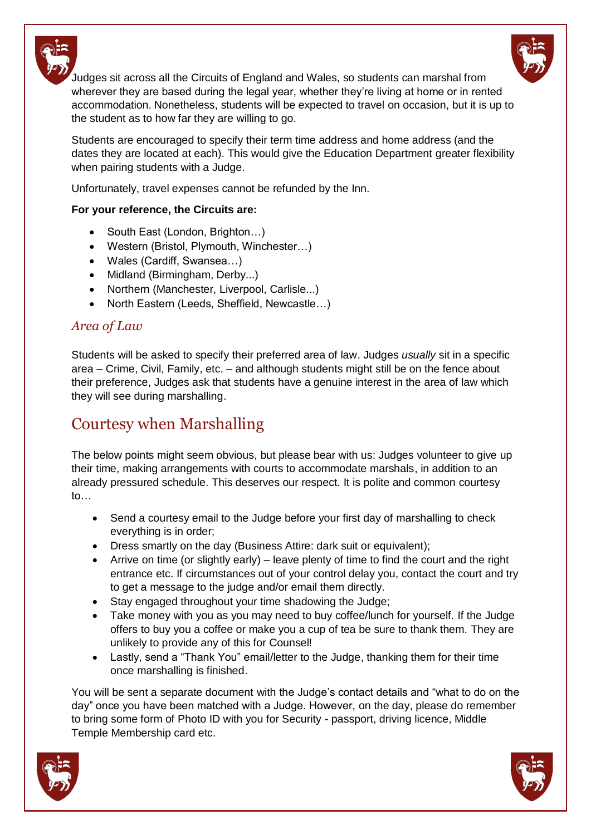

Judges sit across all the Circuits of England and Wales, so students can marshal from wherever they are based during the legal year, whether they're living at home or in rented accommodation. Nonetheless, students will be expected to travel on occasion, but it is up to the student as to how far they are willing to go.

Students are encouraged to specify their term time address and home address (and the dates they are located at each). This would give the Education Department greater flexibility when pairing students with a Judge.

Unfortunately, travel expenses cannot be refunded by the Inn.

### **For your reference, the Circuits are:**

- South East (London, Brighton...)
- Western (Bristol, Plymouth, Winchester…)
- Wales (Cardiff, Swansea…)
- Midland (Birmingham, Derby...)
- Northern (Manchester, Liverpool, Carlisle...)
- North Eastern (Leeds, Sheffield, Newcastle...)

### <span id="page-2-0"></span>*Area of Law*

Students will be asked to specify their preferred area of law. Judges *usually* sit in a specific area – Crime, Civil, Family, etc. – and although students might still be on the fence about their preference, Judges ask that students have a genuine interest in the area of law which they will see during marshalling.

# <span id="page-2-1"></span>Courtesy when Marshalling

The below points might seem obvious, but please bear with us: Judges volunteer to give up their time, making arrangements with courts to accommodate marshals, in addition to an already pressured schedule. This deserves our respect. It is polite and common courtesy to…

- Send a courtesy email to the Judge before your first day of marshalling to check everything is in order;
- Dress smartly on the day (Business Attire: dark suit or equivalent);
- Arrive on time (or slightly early) leave plenty of time to find the court and the right entrance etc. If circumstances out of your control delay you, contact the court and try to get a message to the judge and/or email them directly.
- Stay engaged throughout your time shadowing the Judge;
- Take money with you as you may need to buy coffee/lunch for yourself. If the Judge offers to buy you a coffee or make you a cup of tea be sure to thank them. They are unlikely to provide any of this for Counsel!
- Lastly, send a "Thank You" email/letter to the Judge, thanking them for their time once marshalling is finished.

You will be sent a separate document with the Judge's contact details and "what to do on the day" once you have been matched with a Judge. However, on the day, please do remember to bring some form of Photo ID with you for Security - passport, driving licence, Middle Temple Membership card etc.



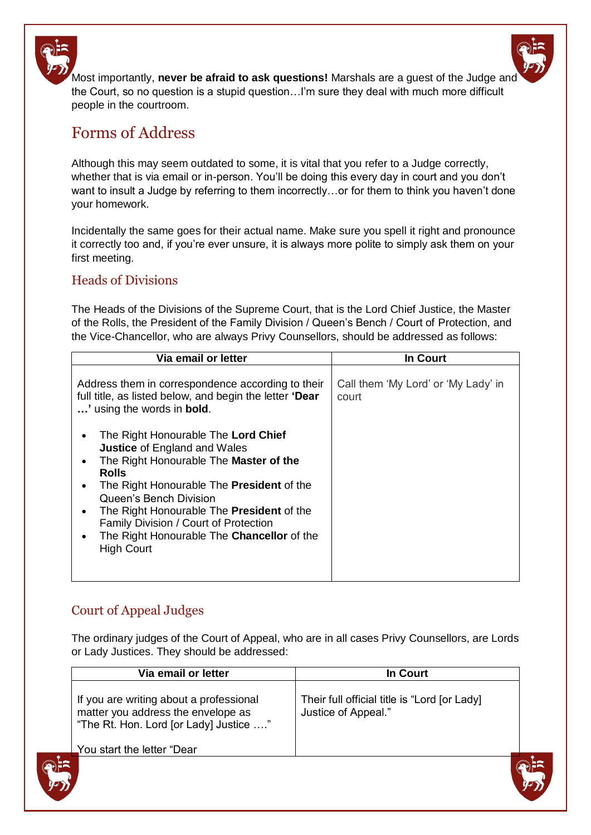Most importantly, **never be afraid to ask questions!** Marshals are a guest of the Judge and the Court, so no question is a stupid question…I'm sure they deal with much more difficult people in the courtroom.

## <span id="page-3-0"></span>Forms of Address

Although this may seem outdated to some, it is vital that you refer to a Judge correctly, whether that is via email or in-person. You'll be doing this every day in court and you don't want to insult a Judge by referring to them incorrectly...or for them to think you haven't done your homework.

Incidentally the same goes for their actual name. Make sure you spell it right and pronounce it correctly too and, if you're ever unsure, it is always more polite to simply ask them on your first meeting.

### <span id="page-3-1"></span>Heads of Divisions

The Heads of the Divisions of the Supreme Court, that is the Lord Chief Justice, the Master of the Rolls, the President of the Family Division / Queen's Bench / Court of Protection, and the Vice-Chancellor, who are always Privy Counsellors, should be addressed as follows:

| Via email or letter                                                                                                                                                                                                                                                                                                                                                                                   | <b>In Court</b>                              |
|-------------------------------------------------------------------------------------------------------------------------------------------------------------------------------------------------------------------------------------------------------------------------------------------------------------------------------------------------------------------------------------------------------|----------------------------------------------|
| Address them in correspondence according to their<br>full title, as listed below, and begin the letter 'Dear<br>' using the words in <b>bold</b> .                                                                                                                                                                                                                                                    | Call them 'My Lord' or 'My Lady' in<br>court |
| The Right Honourable The Lord Chief<br>٠<br><b>Justice of England and Wales</b><br>The Right Honourable The Master of the<br>٠<br><b>Rolls</b><br>The Right Honourable The President of the<br>$\bullet$<br>Queen's Bench Division<br>The Right Honourable The President of the<br>٠<br>Family Division / Court of Protection<br>The Right Honourable The Chancellor of the<br>٠<br><b>High Court</b> |                                              |

### <span id="page-3-2"></span>Court of Appeal Judges

The ordinary judges of the Court of Appeal, who are in all cases Privy Counsellors, are Lords or Lady Justices. They should be addressed:

| Via email or letter                                                                                                     | In Court                                                            |
|-------------------------------------------------------------------------------------------------------------------------|---------------------------------------------------------------------|
| If you are writing about a professional<br>matter you address the envelope as<br>"The Rt. Hon. Lord [or Lady] Justice " | Their full official title is "Lord [or Lady]<br>Justice of Appeal." |
| You start the letter "Dear                                                                                              |                                                                     |
|                                                                                                                         |                                                                     |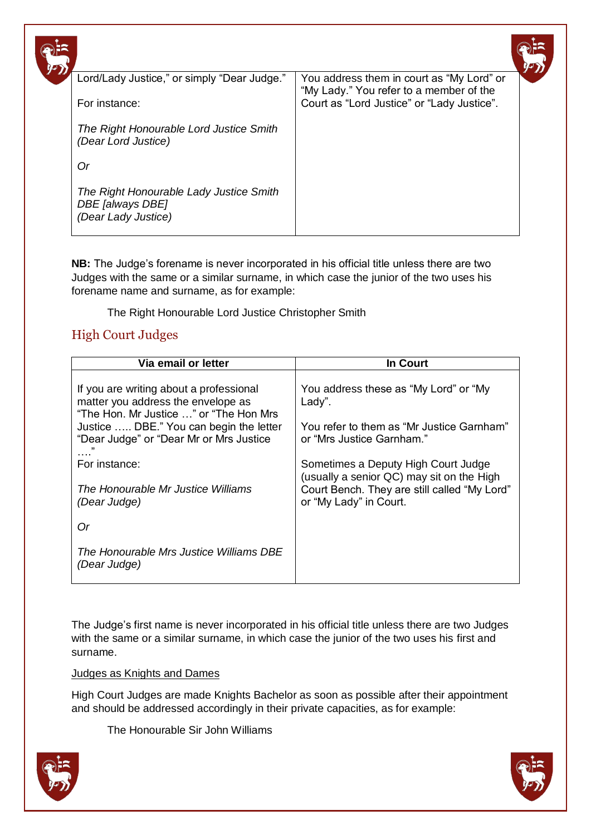| $\sqrt{2}$ |                                                                                    |                                                                                      |  |
|------------|------------------------------------------------------------------------------------|--------------------------------------------------------------------------------------|--|
|            | Lord/Lady Justice," or simply "Dear Judge."                                        | You address them in court as "My Lord" or<br>"My Lady." You refer to a member of the |  |
|            | For instance:                                                                      | Court as "Lord Justice" or "Lady Justice".                                           |  |
|            | The Right Honourable Lord Justice Smith<br>(Dear Lord Justice)                     |                                                                                      |  |
|            | Or                                                                                 |                                                                                      |  |
|            | The Right Honourable Lady Justice Smith<br>DBE [always DBE]<br>(Dear Lady Justice) |                                                                                      |  |

**NB:** The Judge's forename is never incorporated in his official title unless there are two Judges with the same or a similar surname, in which case the junior of the two uses his forename name and surname, as for example:

The Right Honourable Lord Justice Christopher Smith

### <span id="page-4-0"></span>High Court Judges

| Via email or letter                                                                                                                                                                                                                                                                  | In Court                                                                                                                                                                                                                                                                                |
|--------------------------------------------------------------------------------------------------------------------------------------------------------------------------------------------------------------------------------------------------------------------------------------|-----------------------------------------------------------------------------------------------------------------------------------------------------------------------------------------------------------------------------------------------------------------------------------------|
| If you are writing about a professional<br>matter you address the envelope as<br>"The Hon. Mr Justice " or "The Hon Mrs<br>Justice  DBE." You can begin the letter<br>"Dear Judge" or "Dear Mr or Mrs Justice<br>For instance:<br>The Honourable Mr Justice Williams<br>(Dear Judge) | You address these as "My Lord" or "My<br>Lady".<br>You refer to them as "Mr Justice Garnham"<br>or "Mrs Justice Garnham."<br>Sometimes a Deputy High Court Judge<br>(usually a senior QC) may sit on the High<br>Court Bench. They are still called "My Lord"<br>or "My Lady" in Court. |
| Or<br>The Honourable Mrs Justice Williams DBE<br>(Dear Judge)                                                                                                                                                                                                                        |                                                                                                                                                                                                                                                                                         |

The Judge's first name is never incorporated in his official title unless there are two Judges with the same or a similar surname, in which case the junior of the two uses his first and surname.

#### Judges as Knights and Dames

High Court Judges are made Knights Bachelor as soon as possible after their appointment and should be addressed accordingly in their private capacities, as for example:

The Honourable Sir John Williams



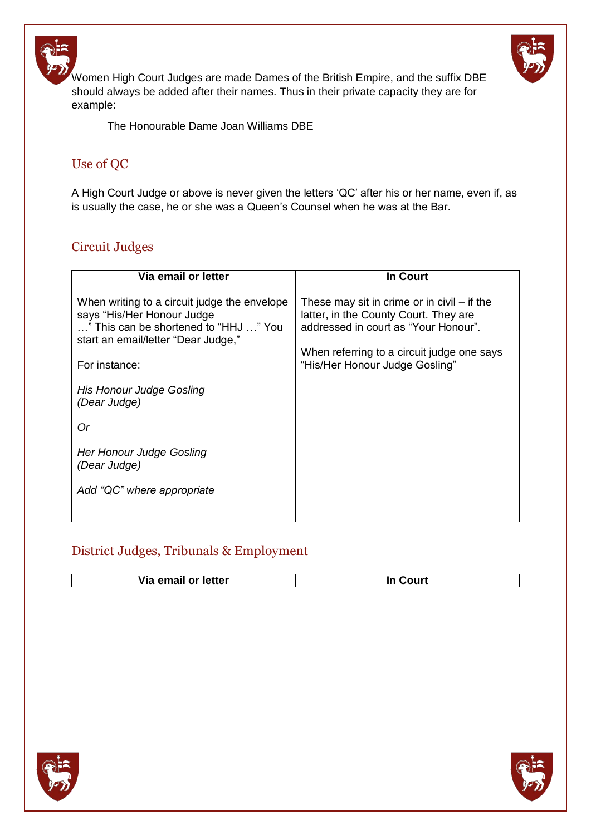

Women High Court Judges are made Dames of the British Empire, and the suffix DBE should always be added after their names. Thus in their private capacity they are for example:

The Honourable Dame Joan Williams DBE

## <span id="page-5-0"></span>Use of QC

A High Court Judge or above is never given the letters 'QC' after his or her name, even if, as is usually the case, he or she was a Queen's Counsel when he was at the Bar.

### <span id="page-5-1"></span>Circuit Judges

| Via email or letter                                                                                                                                                                                                     | In Court                                                                                                                                                                                                       |
|-------------------------------------------------------------------------------------------------------------------------------------------------------------------------------------------------------------------------|----------------------------------------------------------------------------------------------------------------------------------------------------------------------------------------------------------------|
| When writing to a circuit judge the envelope<br>says "His/Her Honour Judge<br>" This can be shortened to "HHJ " You<br>start an email/letter "Dear Judge,"<br>For instance:<br>His Honour Judge Gosling<br>(Dear Judge) | These may sit in crime or in civil $-$ if the<br>latter, in the County Court. They are<br>addressed in court as "Your Honour".<br>When referring to a circuit judge one says<br>"His/Her Honour Judge Gosling" |
| Or                                                                                                                                                                                                                      |                                                                                                                                                                                                                |
| Her Honour Judge Gosling<br>(Dear Judge)                                                                                                                                                                                |                                                                                                                                                                                                                |
| Add "QC" where appropriate                                                                                                                                                                                              |                                                                                                                                                                                                                |

## <span id="page-5-2"></span>District Judges, Tribunals & Employment

| Via<br>letter<br>-amail ar la<br>υı<br>спан |  |
|---------------------------------------------|--|
|                                             |  |